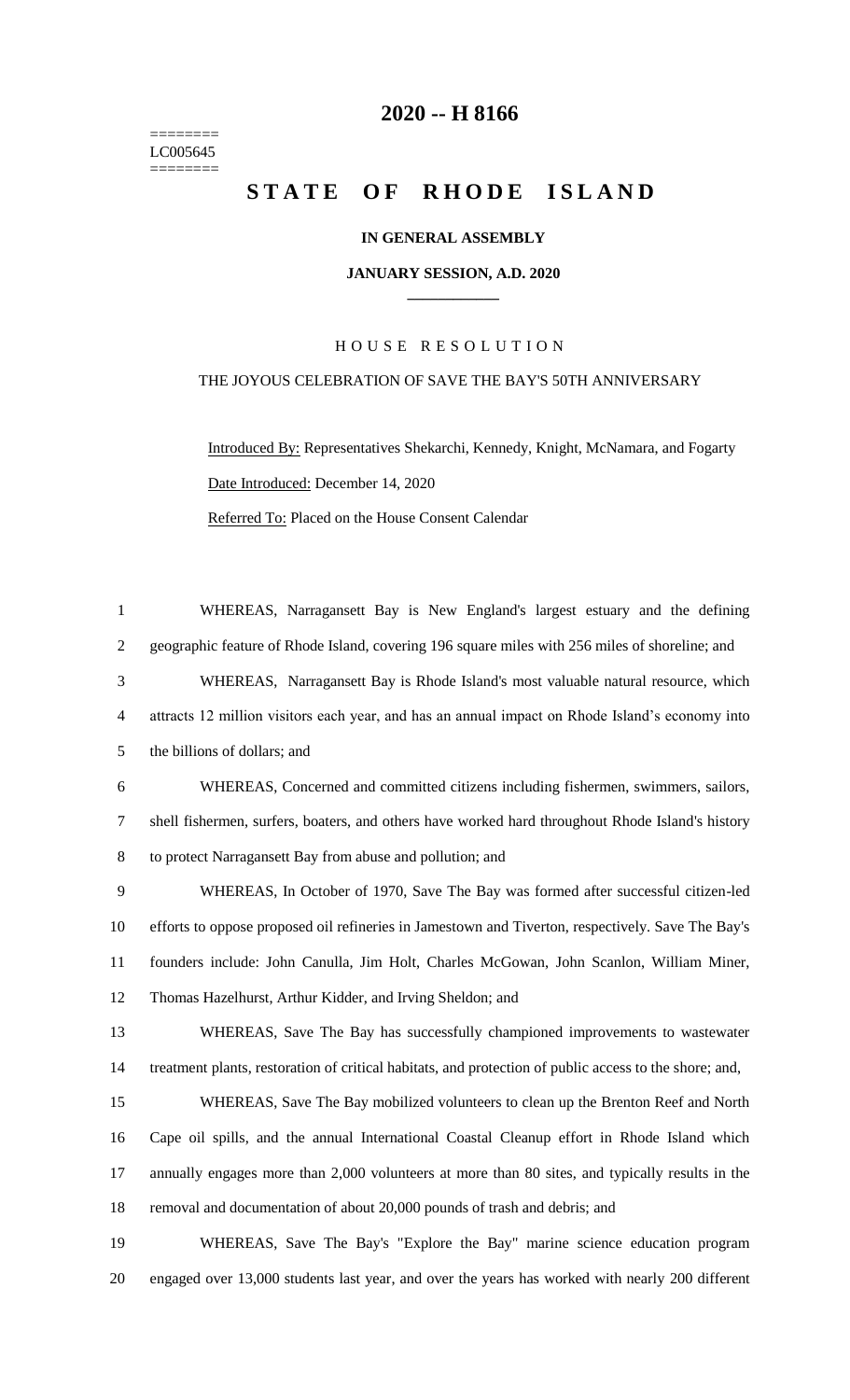======== LC005645 ========

## **-- H 8166**

# **STATE OF RHODE ISLAND**

## **IN GENERAL ASSEMBLY**

#### **JANUARY SESSION, A.D. 2020 \_\_\_\_\_\_\_\_\_\_\_\_**

## H O U S E R E S O L U T I O N

### THE JOYOUS CELEBRATION OF SAVE THE BAY'S 50TH ANNIVERSARY

Introduced By: Representatives Shekarchi, Kennedy, Knight, McNamara, and Fogarty Date Introduced: December 14, 2020 Referred To: Placed on the House Consent Calendar

 WHEREAS, Narragansett Bay is New England's largest estuary and the defining geographic feature of Rhode Island, covering 196 square miles with 256 miles of shoreline; and WHEREAS, Narragansett Bay is Rhode Island's most valuable natural resource, which attracts 12 million visitors each year, and has an annual impact on Rhode Island's economy into the billions of dollars; and WHEREAS, Concerned and committed citizens including fishermen, swimmers, sailors, shell fishermen, surfers, boaters, and others have worked hard throughout Rhode Island's history to protect Narragansett Bay from abuse and pollution; and WHEREAS, In October of 1970, Save The Bay was formed after successful citizen-led efforts to oppose proposed oil refineries in Jamestown and Tiverton, respectively. Save The Bay's founders include: John Canulla, Jim Holt, Charles McGowan, John Scanlon, William Miner, Thomas Hazelhurst, Arthur Kidder, and Irving Sheldon; and WHEREAS, Save The Bay has successfully championed improvements to wastewater treatment plants, restoration of critical habitats, and protection of public access to the shore; and, WHEREAS, Save The Bay mobilized volunteers to clean up the Brenton Reef and North Cape oil spills, and the annual International Coastal Cleanup effort in Rhode Island which annually engages more than 2,000 volunteers at more than 80 sites, and typically results in the removal and documentation of about 20,000 pounds of trash and debris; and WHEREAS, Save The Bay's "Explore the Bay" marine science education program

engaged over 13,000 students last year, and over the years has worked with nearly 200 different